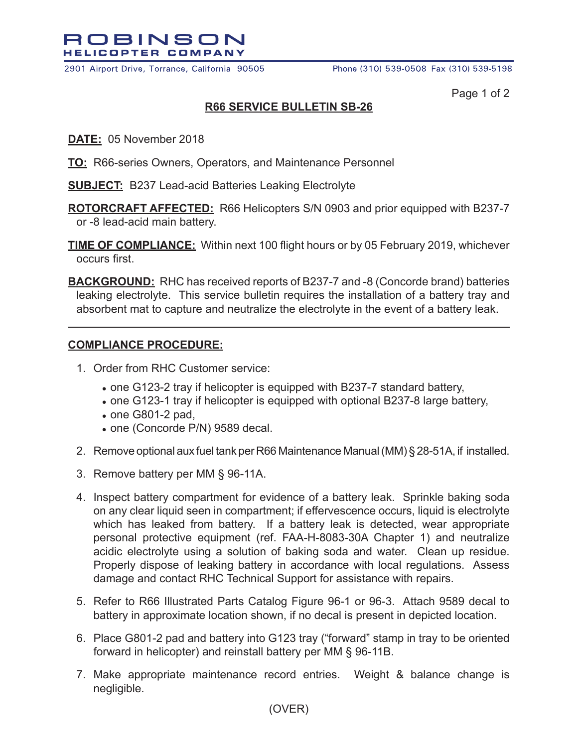

2901 Airport Drive, Torrance, California 90505

Page 1 of 2

## **R66 SERVICE BULLETIN SB-26**

- **DATE:** 05 November 2018
- **TO:** R66-series Owners, Operators, and Maintenance Personnel
- **SUBJECT:** B237 Lead-acid Batteries Leaking Electrolyte
- **ROTORCRAFT AFFECTED:** R66 Helicopters S/N 0903 and prior equipped with B237-7 or -8 lead-acid main battery.
- **TIME OF COMPLIANCE:** Within next 100 flight hours or by 05 February 2019, whichever occurs first.
- **BACKGROUND:** RHC has received reports of B237-7 and -8 (Concorde brand) batteries leaking electrolyte. This service bulletin requires the installation of a battery tray and absorbent mat to capture and neutralize the electrolyte in the event of a battery leak.

## **COMPLIANCE PROCEDURE:**

- 1. Order from RHC Customer service:
	- **●** one G123-2 tray if helicopter is equipped with B237-7 standard battery,
	- **●** one G123-1 tray if helicopter is equipped with optional B237-8 large battery,
	- **●** one G801-2 pad,
	- **●** one (Concorde P/N) 9589 decal.
- 2. Remove optional aux fuel tank per R66 Maintenance Manual (MM) § 28-51A, if installed.
- 3. Remove battery per MM § 96-11A.
- 4. Inspect battery compartment for evidence of a battery leak. Sprinkle baking soda on any clear liquid seen in compartment; if effervescence occurs, liquid is electrolyte which has leaked from battery. If a battery leak is detected, wear appropriate personal protective equipment (ref. FAA-H-8083-30A Chapter 1) and neutralize acidic electrolyte using a solution of baking soda and water. Clean up residue. Properly dispose of leaking battery in accordance with local regulations. Assess damage and contact RHC Technical Support for assistance with repairs.
- 5. Refer to R66 Illustrated Parts Catalog Figure 96-1 or 96-3. Attach 9589 decal to battery in approximate location shown, if no decal is present in depicted location.
- 6. Place G801-2 pad and battery into G123 tray ("forward" stamp in tray to be oriented forward in helicopter) and reinstall battery per MM § 96-11B.
- 7. Make appropriate maintenance record entries. Weight & balance change is negligible.